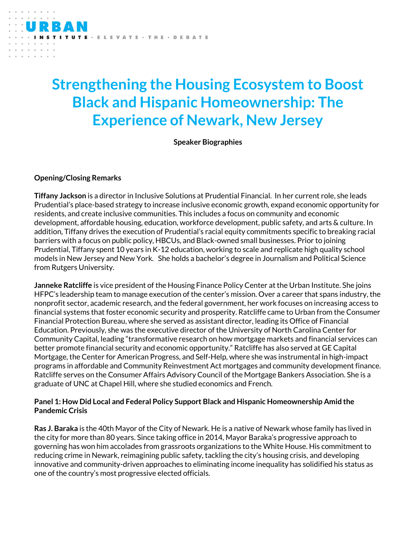# **Strengthening the Housing Ecosystem to Boost Black and Hispanic Homeownership: The Experience of Newark, New Jersey**

ELEVATE · THE · DEBATE

**Speaker Biographies**

#### **Opening/Closing Remarks**

**Tiffany Jackson** is a director in Inclusive Solutions at Prudential Financial. In her current role, she leads Prudential's place-based strategy to increase inclusive economic growth, expand economic opportunity for residents, and create inclusive communities. This includes a focus on community and economic development, affordable housing, education, workforce development, public safety, and arts & culture. In addition, Tiffany drives the execution of Prudential's racial equity commitments specific to breaking racial barriers with a focus on public policy, HBCUs, and Black-owned small businesses. Prior to joining Prudential, Tiffany spent 10 years in K-12 education, working to scale and replicate high quality school models in New Jersey and New York. She holds a bachelor's degree in Journalism and Political Science from Rutgers University.

**Janneke Ratcliffe** is vice president of the Housing Finance Policy Center at the Urban Institute. She joins HFPC's leadership team to manage execution of the center's mission. Over a career that spans industry, the nonprofit sector, academic research, and the federal government, her work focuses on increasing access to financial systems that foster economic security and prosperity. Ratcliffe came to Urban from the Consumer Financial Protection Bureau, where she served as assistant director, leading its Office of Financial Education. Previously, she was the executive director of the University of North Carolina Center for Community Capital, leading "transformative research on how mortgage markets and financial services can better promote financial security and economic opportunity." Ratcliffe has also served at GE Capital Mortgage, the Center for American Progress, and Self-Help, where she was instrumental in high-impact programs in affordable and Community Reinvestment Act mortgages and community development finance. Ratcliffe serves on the Consumer Affairs Advisory Council of the Mortgage Bankers Association. She is a graduate of UNC at Chapel Hill, where she studied economics and French.

## **Panel 1: How Did Local and Federal Policy Support Black and Hispanic Homeownership Amid the Pandemic Crisis**

**Ras J. Baraka** is the 40th Mayor of the City of Newark. He is a native of Newark whose family has lived in the city for more than 80 years. Since taking office in 2014, Mayor Baraka's progressive approach to governing has won him accolades from grassroots organizations to the White House. His commitment to reducing crime in Newark, reimagining public safety, tackling the city's housing crisis, and developing innovative and community-driven approaches to eliminating income inequality has solidified his status as one of the country's most progressive elected officials.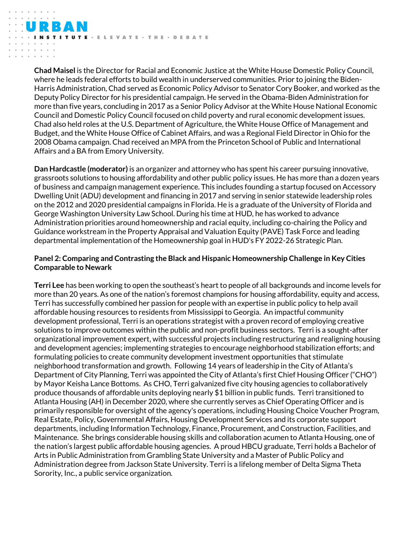**Chad Maisel** is the Director for Racial and Economic Justice at the White House Domestic Policy Council, where he leads federal efforts to build wealth in underserved communities. Prior to joining the Biden-Harris Administration, Chad served as Economic Policy Advisor to Senator Cory Booker, and worked as the Deputy Policy Director for his presidential campaign. He served in the Obama-Biden Administration for more than five years, concluding in 2017 as a Senior Policy Advisor at the White House National Economic Council and Domestic Policy Council focused on child poverty and rural economic development issues. Chad also held roles at the U.S. Department of Agriculture, the White House Office of Management and Budget, and the White House Office of Cabinet Affairs, and was a Regional Field Director in Ohio for the 2008 Obama campaign. Chad received an MPA from the Princeton School of Public and International Affairs and a BA from Emory University.

E · E L E V A T E · T H E · D E B A T E

**Dan Hardcastle (moderator)** is an organizer and attorney who has spent his career pursuing innovative, grassroots solutions to housing affordability and other public policy issues. He has more than a dozen years of business and campaign management experience. This includes founding a startup focused on Accessory Dwelling Unit (ADU) development and financing in 2017 and serving in senior statewide leadership roles on the 2012 and 2020 presidential campaigns in Florida. He is a graduate of the University of Florida and George Washington University Law School. During his time at HUD, he has worked to advance Administration priorities around homeownership and racial equity, including co-chairing the Policy and Guidance workstream in the Property Appraisal and Valuation Equity (PAVE) Task Force and leading departmental implementation of the Homeownership goal in HUD's FY 2022-26 Strategic Plan.

## **Panel 2: Comparing and Contrasting the Black and Hispanic Homeownership Challenge in Key Cities Comparable to Newark**

**Terri Lee** has been working to open the southeast's heart to people of all backgrounds and income levels for more than 20 years. As one of the nation's foremost champions for housing affordability, equity and access, Terri has successfully combined her passion for people with an expertise in public policy to help avail affordable housing resources to residents from Mississippi to Georgia. An impactful community development professional, Terri is an operations strategist with a proven record of employing creative solutions to improve outcomes within the public and non-profit business sectors. Terri is a sought-after organizational improvement expert, with successful projects including restructuring and realigning housing and development agencies; implementing strategies to encourage neighborhood stabilization efforts; and formulating policies to create community development investment opportunities that stimulate neighborhood transformation and growth. Following 14 years of leadership in the City of Atlanta's Department of City Planning, Terri was appointed the City of Atlanta's first Chief Housing Officer ("CHO") by Mayor Keisha Lance Bottoms. As CHO, Terri galvanized five city housing agencies to collaboratively produce thousands of affordable units deploying nearly \$1 billion in public funds. Terri transitioned to Atlanta Housing (AH) in December 2020, where she currently serves as Chief Operating Officer and is primarily responsible for oversight of the agency's operations, including Housing Choice Voucher Program, Real Estate, Policy, Governmental Affairs, Housing Development Services and its corporate support departments, including Information Technology, Finance, Procurement, and Construction, Facilities, and Maintenance. She brings considerable housing skills and collaboration acumen to Atlanta Housing, one of the nation's largest public affordable housing agencies. A proud HBCU graduate, Terri holds a Bachelor of Arts in Public Administration from Grambling State University and a Master of Public Policy and Administration degree from Jackson State University. Terri is a lifelong member of Delta Sigma Theta Sorority, Inc., a public service organization.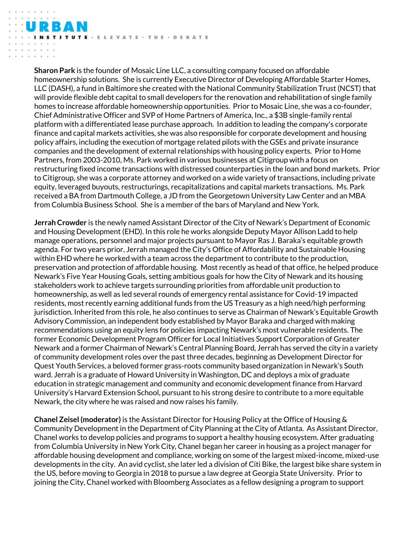· ELEVATE · THE · DEBATE

**Sharon Park** is the founder of Mosaic Line LLC, a consulting company focused on affordable homeownership solutions. She is currently Executive Director of Developing Affordable Starter Homes, LLC (DASH), a fund in Baltimore she created with the National Community Stabilization Trust (NCST) that will provide flexible debt capital to small developers for the renovation and rehabilitation of single family homes to increase affordable homeownership opportunities. Prior to Mosaic Line, she was a co-founder, Chief Administrative Officer and SVP of Home Partners of America, Inc., a \$3B single-family rental platform with a differentiated lease purchase approach. In addition to leading the company's corporate finance and capital markets activities, she was also responsible for corporate development and housing policy affairs, including the execution of mortgage related pilots with the GSEs and private insurance companies and the development of external relationships with housing policy experts. Prior to Home Partners, from 2003-2010, Ms. Park worked in various businesses at Citigroup with a focus on restructuring fixed income transactions with distressed counterparties in the loan and bond markets. Prior to Citigroup, she was a corporate attorney and worked on a wide variety of transactions, including private equity, leveraged buyouts, restructurings, recapitalizations and capital markets transactions. Ms. Park received a BA from Dartmouth College, a JD from the Georgetown University Law Center and an MBA from Columbia Business School. She is a member of the bars of Maryland and New York.

**Jerrah Crowder** is the newly named Assistant Director of the City of Newark's Department of Economic and Housing Development (EHD). In this role he works alongside Deputy Mayor Allison Ladd to help manage operations, personnel and major projects pursuant to Mayor Ras J. Baraka's equitable growth agenda. For two years prior, Jerrah managed the City's Office of Affordability and Sustainable Housing within EHD where he worked with a team across the department to contribute to the production, preservation and protection of affordable housing. Most recently as head of that office, he helped produce Newark's Five Year Housing Goals, setting ambitious goals for how the City of Newark and its housing stakeholders work to achieve targets surrounding priorities from affordable unit production to homeownership, as well as led several rounds of emergency rental assistance for Covid-19 impacted residents, most recently earning additional funds from the US Treasury as a high need/high performing jurisdiction. Inherited from this role, he also continues to serve as Chairman of Newark's Equitable Growth Advisory Commission, an independent body established by Mayor Baraka and charged with making recommendations using an equity lens for policies impacting Newark's most vulnerable residents. The former Economic Development Program Officer for Local Initiatives Support Corporation of Greater Newark and a former Chairman of Newark's Central Planning Board, Jerrah has served the city in a variety of community development roles over the past three decades, beginning as Development Director for Quest Youth Services, a beloved former grass-roots community based organization in Newark's South ward. Jerrah is a graduate of Howard University in Washington, DC and deploys a mix of graduate education in strategic management and community and economic development finance from Harvard University's Harvard Extension School, pursuant to his strong desire to contribute to a more equitable Newark, the city where he was raised and now raises his family.

**Chanel Zeisel (moderator)** is the Assistant Director for Housing Policy at the Office of Housing & Community Development in the Department of City Planning at the City of Atlanta. As Assistant Director, Chanel works to develop policies and programs to support a healthy housing ecosystem. After graduating from Columbia University in New York City, Chanel began her career in housing as a project manager for affordable housing development and compliance, working on some of the largest mixed-income, mixed-use developments in the city. An avid cyclist, she later led a division of Citi Bike, the largest bike share system in the US, before moving to Georgia in 2018 to pursue a law degree at Georgia State University. Prior to joining the City, Chanel worked with Bloomberg Associates as a fellow designing a program to support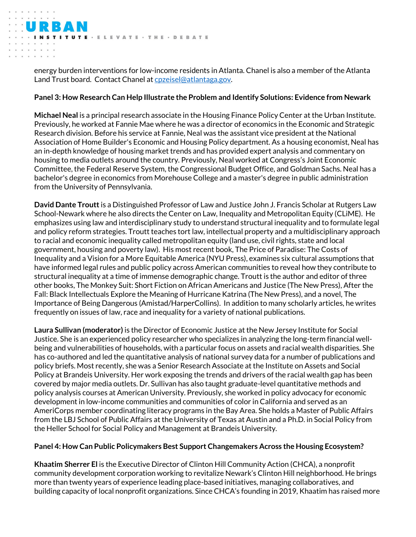energy burden interventions for low-income residents in Atlanta. Chanel is also a member of the Atlanta Land Trust board. Contact Chanel a[t cpzeisel@atlantaga.gov.](mailto:cpzeisel@atlantaga.gov)

E · E L E V A T E · T H E · D E B A T E

## **Panel 3: How Research Can Help Illustrate the Problem and Identify Solutions: Evidence from Newark**

**Michael Neal** is a principal research associate in the Housing Finance Policy Center at the Urban Institute. Previously, he worked at Fannie Mae where he was a director of economics in the Economic and Strategic Research division. Before his service at Fannie, Neal was the assistant vice president at the National Association of Home Builder's Economic and Housing Policy department. As a housing economist, Neal has an in-depth knowledge of housing market trends and has provided expert analysis and commentary on housing to media outlets around the country. Previously, Neal worked at Congress's Joint Economic Committee, the Federal Reserve System, the Congressional Budget Office, and Goldman Sachs. Neal has a bachelor's degree in economics from Morehouse College and a master's degree in public administration from the University of Pennsylvania.

**David Dante Troutt** is a Distinguished Professor of Law and Justice John J. Francis Scholar at Rutgers Law School-Newark where he also directs the Center on Law, Inequality and Metropolitan Equity (CLiME). He emphasizes using law and interdisciplinary study to understand structural inequality and to formulate legal and policy reform strategies. Troutt teaches tort law, intellectual property and a multidisciplinary approach to racial and economic inequality called metropolitan equity (land use, civil rights, state and local government, housing and poverty law). His most recent book, The Price of Paradise: The Costs of Inequality and a Vision for a More Equitable America (NYU Press), examines six cultural assumptions that have informed legal rules and public policy across American communities to reveal how they contribute to structural inequality at a time of immense demographic change. Troutt is the author and editor of three other books, The Monkey Suit: Short Fiction on African Americans and Justice (The New Press), After the Fall: Black Intellectuals Explore the Meaning of Hurricane Katrina (The New Press), and a novel, The Importance of Being Dangerous (Amistad/HarperCollins). In addition to many scholarly articles, he writes frequently on issues of law, race and inequality for a variety of national publications.

**Laura Sullivan (moderator)** is the Director of Economic Justice at the New Jersey Institute for Social Justice. She is an experienced policy researcher who specializes in analyzing the long-term financial wellbeing and vulnerabilities of households, with a particular focus on assets and racial wealth disparities. She has co-authored and led the quantitative analysis of national survey data for a number of publications and policy briefs. Most recently, she was a Senior Research Associate at the Institute on Assets and Social Policy at Brandeis University. Her work exposing the trends and drivers of the racial wealth gap has been covered by major media outlets. Dr. Sullivan has also taught graduate-level quantitative methods and policy analysis courses at American University. Previously, she worked in policy advocacy for economic development in low-income communities and communities of color in California and served as an AmeriCorps member coordinating literacy programs in the Bay Area. She holds a Master of Public Affairs from the LBJ School of Public Affairs at the University of Texas at Austin and a Ph.D. in Social Policy from the Heller School for Social Policy and Management at Brandeis University.

## **Panel 4: How Can Public Policymakers Best Support Changemakers Across the Housing Ecosystem?**

**Khaatim Sherrer El** is the Executive Director of Clinton Hill Community Action (CHCA), a nonprofit community development corporation working to revitalize Newark's Clinton Hill neighborhood. He brings more than twenty years of experience leading place-based initiatives, managing collaboratives, and building capacity of local nonprofit organizations. Since CHCA's founding in 2019, Khaatim has raised more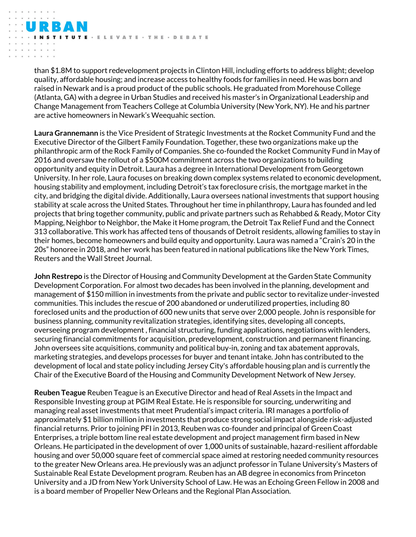than \$1.8M to support redevelopment projects in Clinton Hill, including efforts to address blight; develop quality, affordable housing; and increase access to healthy foods for families in need. He was born and raised in Newark and is a proud product of the public schools. He graduated from Morehouse College (Atlanta, GA) with a degree in Urban Studies and received his master's in Organizational Leadership and Change Management from Teachers College at Columbia University (New York, NY). He and his partner are active homeowners in Newark's Weequahic section.

UTE · ELEVATE · THE · DEBATE

**Laura Grannemann** is the Vice President of Strategic Investments at the Rocket Community Fund and the Executive Director of the Gilbert Family Foundation. Together, these two organizations make up the philanthropic arm of the Rock Family of Companies. She co-founded the Rocket Community Fund in May of 2016 and oversaw the rollout of a \$500M commitment across the two organizations to building opportunity and equity in Detroit. Laura has a degree in International Development from Georgetown University. In her role, Laura focuses on breaking down complex systems related to economic development, housing stability and employment, including Detroit's tax foreclosure crisis, the mortgage market in the city, and bridging the digital divide. Additionally, Laura oversees national investments that support housing stability at scale across the United States. Throughout her time in philanthropy, Laura has founded and led projects that bring together community, public and private partners such as Rehabbed & Ready, Motor City Mapping, Neighbor to Neighbor, the Make it Home program, the Detroit Tax Relief Fund and the Connect 313 collaborative. This work has affected tens of thousands of Detroit residents, allowing families to stay in their homes, become homeowners and build equity and opportunity. Laura was named a "Crain's 20 in the 20s" honoree in 2018, and her work has been featured in national publications like the New York Times, Reuters and the Wall Street Journal.

**John Restrepo** is the Director of Housing and Community Development at the Garden State Community Development Corporation. For almost two decades has been involved in the planning, development and management of \$150 million in investments from the private and public sector to revitalize under-invested communities. This includes the rescue of 200 abandoned or underutilized properties, including 80 foreclosed units and the production of 600 new units that serve over 2,000 people. John is responsible for business planning, community revitalization strategies, identifying sites, developing all concepts, overseeing program development , financial structuring, funding applications, negotiations with lenders, securing financial commitments for acquisition, predevelopment, construction and permanent financing. John oversees site acquisitions, community and political buy-in, zoning and tax abatement approvals, marketing strategies, and develops processes for buyer and tenant intake. John has contributed to the development of local and state policy including Jersey City's affordable housing plan and is currently the Chair of the Executive Board of the Housing and Community Development Network of New Jersey.

**Reuben Teague** Reuben Teague is an Executive Director and head of Real Assets in the Impact and Responsible Investing group at PGIM Real Estate. He is responsible for sourcing, underwriting and managing real asset investments that meet Prudential's impact criteria. IRI manages a portfolio of approximately \$1 billion million in investments that produce strong social impact alongside risk-adjusted financial returns. Prior to joining PFI in 2013, Reuben was co-founder and principal of Green Coast Enterprises, a triple bottom line real estate development and project management firm based in New Orleans. He participated in the development of over 1,000 units of sustainable, hazard-resilient affordable housing and over 50,000 square feet of commercial space aimed at restoring needed community resources to the greater New Orleans area. He previously was an adjunct professor in Tulane University's Masters of Sustainable Real Estate Development program. Reuben has an AB degree in economics from Princeton University and a JD from New York University School of Law. He was an Echoing Green Fellow in 2008 and is a board member of Propeller New Orleans and the Regional Plan Association.